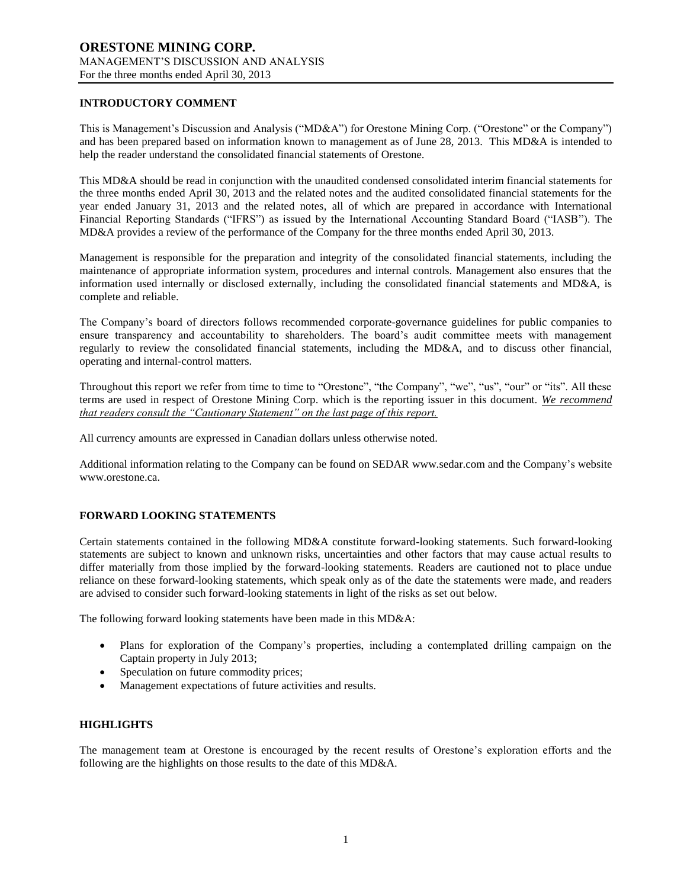### **INTRODUCTORY COMMENT**

This is Management's Discussion and Analysis ("MD&A") for Orestone Mining Corp. ("Orestone" or the Company") and has been prepared based on information known to management as of June 28, 2013. This MD&A is intended to help the reader understand the consolidated financial statements of Orestone.

This MD&A should be read in conjunction with the unaudited condensed consolidated interim financial statements for the three months ended April 30, 2013 and the related notes and the audited consolidated financial statements for the year ended January 31, 2013 and the related notes, all of which are prepared in accordance with International Financial Reporting Standards ("IFRS") as issued by the International Accounting Standard Board ("IASB"). The MD&A provides a review of the performance of the Company for the three months ended April 30, 2013.

Management is responsible for the preparation and integrity of the consolidated financial statements, including the maintenance of appropriate information system, procedures and internal controls. Management also ensures that the information used internally or disclosed externally, including the consolidated financial statements and MD&A, is complete and reliable.

The Company's board of directors follows recommended corporate-governance guidelines for public companies to ensure transparency and accountability to shareholders. The board's audit committee meets with management regularly to review the consolidated financial statements, including the MD&A, and to discuss other financial, operating and internal-control matters.

Throughout this report we refer from time to time to "Orestone", "the Company", "we", "us", "our" or "its". All these terms are used in respect of Orestone Mining Corp. which is the reporting issuer in this document. *We recommend that readers consult the "Cautionary Statement" on the last page of this report.*

All currency amounts are expressed in Canadian dollars unless otherwise noted.

Additional information relating to the Company can be found on SEDAR www.sedar.com and the Company's website www.orestone.ca.

## **FORWARD LOOKING STATEMENTS**

Certain statements contained in the following MD&A constitute forward-looking statements. Such forward-looking statements are subject to known and unknown risks, uncertainties and other factors that may cause actual results to differ materially from those implied by the forward-looking statements. Readers are cautioned not to place undue reliance on these forward-looking statements, which speak only as of the date the statements were made, and readers are advised to consider such forward-looking statements in light of the risks as set out below.

The following forward looking statements have been made in this MD&A:

- Plans for exploration of the Company's properties, including a contemplated drilling campaign on the Captain property in July 2013;
- Speculation on future commodity prices;
- Management expectations of future activities and results.

## **HIGHLIGHTS**

The management team at Orestone is encouraged by the recent results of Orestone's exploration efforts and the following are the highlights on those results to the date of this MD&A.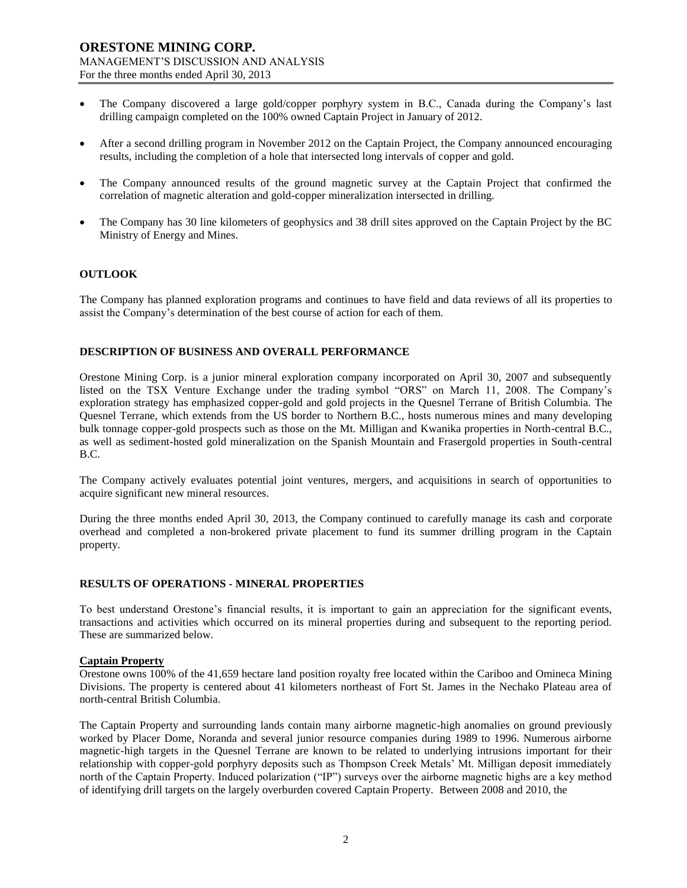- The Company discovered a large gold/copper porphyry system in B.C., Canada during the Company's last drilling campaign completed on the 100% owned Captain Project in January of 2012.
- After a second drilling program in November 2012 on the Captain Project, the Company announced encouraging results, including the completion of a hole that intersected long intervals of copper and gold.
- The Company announced results of the ground magnetic survey at the Captain Project that confirmed the correlation of magnetic alteration and gold-copper mineralization intersected in drilling.
- The Company has 30 line kilometers of geophysics and 38 drill sites approved on the Captain Project by the BC Ministry of Energy and Mines.

### **OUTLOOK**

The Company has planned exploration programs and continues to have field and data reviews of all its properties to assist the Company's determination of the best course of action for each of them.

# **DESCRIPTION OF BUSINESS AND OVERALL PERFORMANCE**

Orestone Mining Corp. is a junior mineral exploration company incorporated on April 30, 2007 and subsequently listed on the TSX Venture Exchange under the trading symbol "ORS" on March 11, 2008. The Company's exploration strategy has emphasized copper-gold and gold projects in the Quesnel Terrane of British Columbia. The Quesnel Terrane, which extends from the US border to Northern B.C., hosts numerous mines and many developing bulk tonnage copper-gold prospects such as those on the Mt. Milligan and Kwanika properties in North-central B.C., as well as sediment-hosted gold mineralization on the Spanish Mountain and Frasergold properties in South-central B.C.

The Company actively evaluates potential joint ventures, mergers, and acquisitions in search of opportunities to acquire significant new mineral resources.

During the three months ended April 30, 2013, the Company continued to carefully manage its cash and corporate overhead and completed a non-brokered private placement to fund its summer drilling program in the Captain property.

#### **RESULTS OF OPERATIONS - MINERAL PROPERTIES**

To best understand Orestone's financial results, it is important to gain an appreciation for the significant events, transactions and activities which occurred on its mineral properties during and subsequent to the reporting period. These are summarized below.

#### **Captain Property**

Orestone owns 100% of the 41,659 hectare land position royalty free located within the Cariboo and Omineca Mining Divisions. The property is centered about 41 kilometers northeast of Fort St. James in the Nechako Plateau area of north-central British Columbia.

The Captain Property and surrounding lands contain many airborne magnetic-high anomalies on ground previously worked by Placer Dome, Noranda and several junior resource companies during 1989 to 1996. Numerous airborne magnetic-high targets in the Quesnel Terrane are known to be related to underlying intrusions important for their relationship with copper-gold porphyry deposits such as Thompson Creek Metals' Mt. Milligan deposit immediately north of the Captain Property. Induced polarization ("IP") surveys over the airborne magnetic highs are a key method of identifying drill targets on the largely overburden covered Captain Property. Between 2008 and 2010, the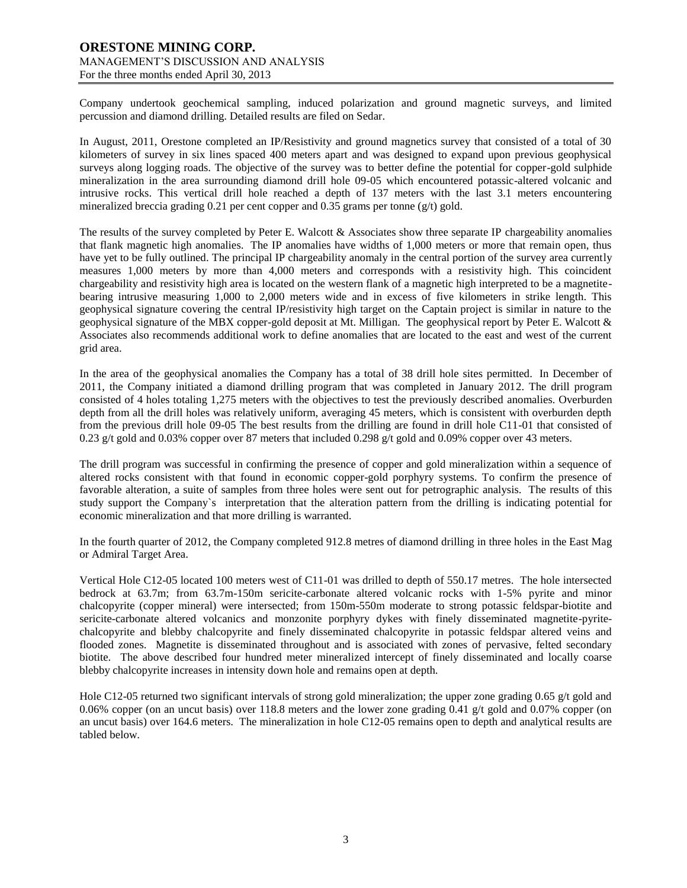Company undertook geochemical sampling, induced polarization and ground magnetic surveys, and limited percussion and diamond drilling. Detailed results are filed on Sedar.

In August, 2011, Orestone completed an IP/Resistivity and ground magnetics survey that consisted of a total of 30 kilometers of survey in six lines spaced 400 meters apart and was designed to expand upon previous geophysical surveys along logging roads. The objective of the survey was to better define the potential for copper-gold sulphide mineralization in the area surrounding diamond drill hole 09-05 which encountered potassic-altered volcanic and intrusive rocks. This vertical drill hole reached a depth of 137 meters with the last 3.1 meters encountering mineralized breccia grading 0.21 per cent copper and 0.35 grams per tonne (g/t) gold.

The results of the survey completed by Peter E. Walcott & Associates show three separate IP chargeability anomalies that flank magnetic high anomalies. The IP anomalies have widths of 1,000 meters or more that remain open, thus have yet to be fully outlined. The principal IP chargeability anomaly in the central portion of the survey area currently measures 1,000 meters by more than 4,000 meters and corresponds with a resistivity high. This coincident chargeability and resistivity high area is located on the western flank of a magnetic high interpreted to be a magnetitebearing intrusive measuring 1,000 to 2,000 meters wide and in excess of five kilometers in strike length. This geophysical signature covering the central IP/resistivity high target on the Captain project is similar in nature to the geophysical signature of the MBX copper-gold deposit at Mt. Milligan. The geophysical report by Peter E. Walcott & Associates also recommends additional work to define anomalies that are located to the east and west of the current grid area.

In the area of the geophysical anomalies the Company has a total of 38 drill hole sites permitted. In December of 2011, the Company initiated a diamond drilling program that was completed in January 2012. The drill program consisted of 4 holes totaling 1,275 meters with the objectives to test the previously described anomalies. Overburden depth from all the drill holes was relatively uniform, averaging 45 meters, which is consistent with overburden depth from the previous drill hole 09-05 The best results from the drilling are found in drill hole C11-01 that consisted of 0.23 g/t gold and 0.03% copper over 87 meters that included 0.298 g/t gold and 0.09% copper over 43 meters.

The drill program was successful in confirming the presence of copper and gold mineralization within a sequence of altered rocks consistent with that found in economic copper-gold porphyry systems. To confirm the presence of favorable alteration, a suite of samples from three holes were sent out for petrographic analysis. The results of this study support the Company`s interpretation that the alteration pattern from the drilling is indicating potential for economic mineralization and that more drilling is warranted.

In the fourth quarter of 2012, the Company completed 912.8 metres of diamond drilling in three holes in the East Mag or Admiral Target Area.

Vertical Hole C12-05 located 100 meters west of C11-01 was drilled to depth of 550.17 metres. The hole intersected bedrock at 63.7m; from 63.7m-150m sericite-carbonate altered volcanic rocks with 1-5% pyrite and minor chalcopyrite (copper mineral) were intersected; from 150m-550m moderate to strong potassic feldspar-biotite and sericite-carbonate altered volcanics and monzonite porphyry dykes with finely disseminated magnetite-pyritechalcopyrite and blebby chalcopyrite and finely disseminated chalcopyrite in potassic feldspar altered veins and flooded zones. Magnetite is disseminated throughout and is associated with zones of pervasive, felted secondary biotite. The above described four hundred meter mineralized intercept of finely disseminated and locally coarse blebby chalcopyrite increases in intensity down hole and remains open at depth.

Hole C12-05 returned two significant intervals of strong gold mineralization; the upper zone grading 0.65 g/t gold and 0.06% copper (on an uncut basis) over 118.8 meters and the lower zone grading 0.41 g/t gold and 0.07% copper (on an uncut basis) over 164.6 meters. The mineralization in hole C12-05 remains open to depth and analytical results are tabled below.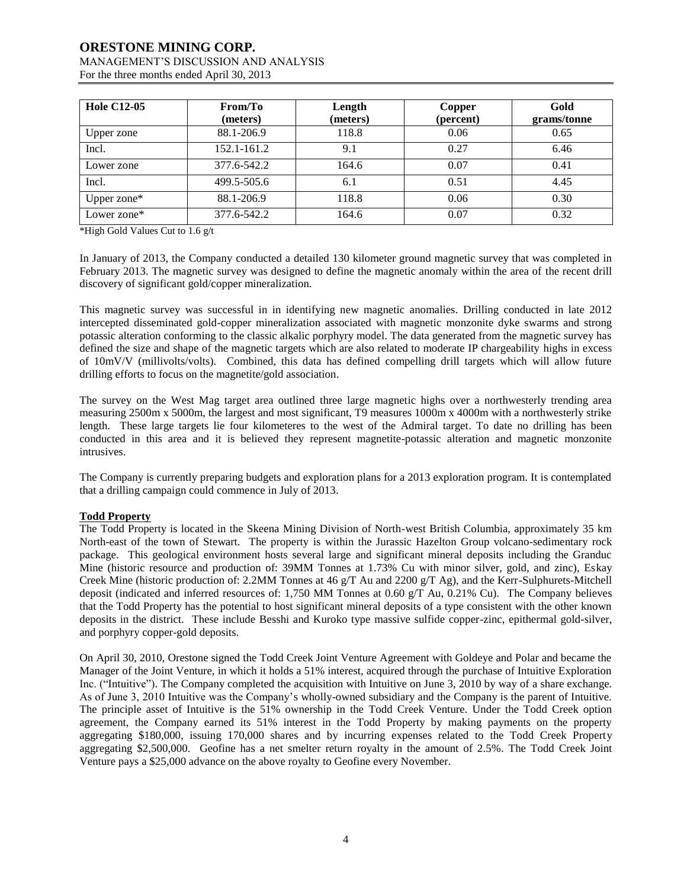# **ORESTONE MINING CORP.** MANAGEMENT'S DISCUSSION AND ANALYSIS

For the three months ended April 30, 2013

| <b>Hole C12-05</b> | From/To<br>(meters) | Length<br>(meters) | Copper<br>(percent) | Gold<br>grams/tonne |
|--------------------|---------------------|--------------------|---------------------|---------------------|
| Upper zone         | 88.1-206.9          | 118.8              | 0.06                | 0.65                |
| Incl.              | 152.1-161.2         | 9.1                | 0.27                | 6.46                |
| Lower zone         | 377.6-542.2         | 164.6              | 0.07                | 0.41                |
| Incl.              | 499.5-505.6         | 6.1                | 0.51                | 4.45                |
| Upper zone*        | 88.1-206.9          | 118.8              | 0.06                | 0.30                |
| Lower zone*        | 377.6-542.2         | 164.6              | 0.07                | 0.32                |

\*High Gold Values Cut to 1.6 g/t

In January of 2013, the Company conducted a detailed 130 kilometer ground magnetic survey that was completed in February 2013. The magnetic survey was designed to define the magnetic anomaly within the area of the recent drill discovery of significant gold/copper mineralization.

This magnetic survey was successful in in identifying new magnetic anomalies. Drilling conducted in late 2012 intercepted disseminated gold-copper mineralization associated with magnetic monzonite dyke swarms and strong potassic alteration conforming to the classic alkalic porphyry model. The data generated from the magnetic survey has defined the size and shape of the magnetic targets which are also related to moderate IP chargeability highs in excess of 10mV/V (millivolts/volts). Combined, this data has defined compelling drill targets which will allow future drilling efforts to focus on the magnetite/gold association.

The survey on the West Mag target area outlined three large magnetic highs over a northwesterly trending area measuring 2500m x 5000m, the largest and most significant, T9 measures 1000m x 4000m with a northwesterly strike length. These large targets lie four kilometeres to the west of the Admiral target. To date no drilling has been conducted in this area and it is believed they represent magnetite-potassic alteration and magnetic monzonite intrusives.

The Company is currently preparing budgets and exploration plans for a 2013 exploration program. It is contemplated that a drilling campaign could commence in July of 2013.

# **Todd Property**

The Todd Property is located in the Skeena Mining Division of North-west British Columbia, approximately 35 km North-east of the town of Stewart. The property is within the Jurassic Hazelton Group volcano-sedimentary rock package. This geological environment hosts several large and significant mineral deposits including the Granduc Mine (historic resource and production of: 39MM Tonnes at 1.73% Cu with minor silver, gold, and zinc), Eskay Creek Mine (historic production of: 2.2MM Tonnes at 46 g/T Au and 2200 g/T Ag), and the Kerr-Sulphurets-Mitchell deposit (indicated and inferred resources of: 1,750 MM Tonnes at 0.60  $g/T$  Au, 0.21% Cu). The Company believes that the Todd Property has the potential to host significant mineral deposits of a type consistent with the other known deposits in the district. These include Besshi and Kuroko type massive sulfide copper-zinc, epithermal gold-silver, and porphyry copper-gold deposits.

On April 30, 2010, Orestone signed the Todd Creek Joint Venture Agreement with Goldeye and Polar and became the Manager of the Joint Venture, in which it holds a 51% interest, acquired through the purchase of Intuitive Exploration Inc. ("Intuitive"). The Company completed the acquisition with Intuitive on June 3, 2010 by way of a share exchange. As of June 3, 2010 Intuitive was the Company's wholly-owned subsidiary and the Company is the parent of Intuitive. The principle asset of Intuitive is the 51% ownership in the Todd Creek Venture. Under the Todd Creek option agreement, the Company earned its 51% interest in the Todd Property by making payments on the property aggregating \$180,000, issuing 170,000 shares and by incurring expenses related to the Todd Creek Property aggregating \$2,500,000. Geofine has a net smelter return royalty in the amount of 2.5%. The Todd Creek Joint Venture pays a \$25,000 advance on the above royalty to Geofine every November.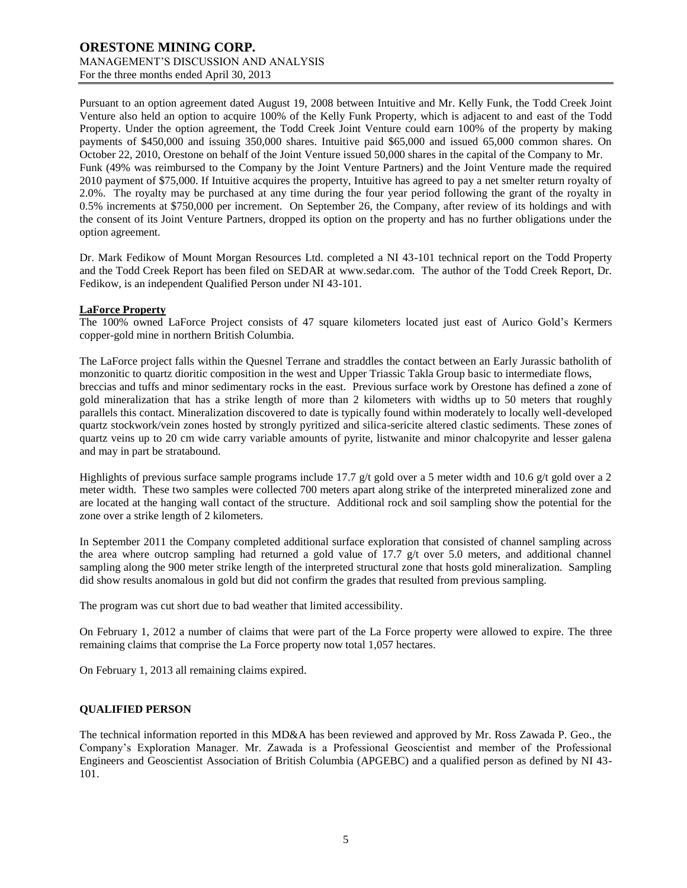Pursuant to an option agreement dated August 19, 2008 between Intuitive and Mr. Kelly Funk, the Todd Creek Joint Venture also held an option to acquire 100% of the Kelly Funk Property, which is adjacent to and east of the Todd Property. Under the option agreement, the Todd Creek Joint Venture could earn 100% of the property by making payments of \$450,000 and issuing 350,000 shares. Intuitive paid \$65,000 and issued 65,000 common shares. On October 22, 2010, Orestone on behalf of the Joint Venture issued 50,000 shares in the capital of the Company to Mr. Funk (49% was reimbursed to the Company by the Joint Venture Partners) and the Joint Venture made the required 2010 payment of \$75,000. If Intuitive acquires the property, Intuitive has agreed to pay a net smelter return royalty of 2.0%. The royalty may be purchased at any time during the four year period following the grant of the royalty in 0.5% increments at \$750,000 per increment. On September 26, the Company, after review of its holdings and with the consent of its Joint Venture Partners, dropped its option on the property and has no further obligations under the option agreement.

Dr. Mark Fedikow of Mount Morgan Resources Ltd. completed a NI 43-101 technical report on the Todd Property and the Todd Creek Report has been filed on SEDAR at [www.sedar.com.](http://www.sedar.com/) The author of the Todd Creek Report, Dr. Fedikow, is an independent Qualified Person under NI 43-101.

#### **LaForce Property**

The 100% owned LaForce Project consists of 47 square kilometers located just east of Aurico Gold's Kermers copper-gold mine in northern British Columbia.

The LaForce project falls within the Quesnel Terrane and straddles the contact between an Early Jurassic batholith of monzonitic to quartz dioritic composition in the west and Upper Triassic Takla Group basic to intermediate flows, breccias and tuffs and minor sedimentary rocks in the east. Previous surface work by Orestone has defined a zone of gold mineralization that has a strike length of more than 2 kilometers with widths up to 50 meters that roughly parallels this contact. Mineralization discovered to date is typically found within moderately to locally well-developed quartz stockwork/vein zones hosted by strongly pyritized and silica-sericite altered clastic sediments. These zones of quartz veins up to 20 cm wide carry variable amounts of pyrite, listwanite and minor chalcopyrite and lesser galena and may in part be stratabound.

Highlights of previous surface sample programs include 17.7 g/t gold over a 5 meter width and 10.6 g/t gold over a 2 meter width. These two samples were collected 700 meters apart along strike of the interpreted mineralized zone and are located at the hanging wall contact of the structure. Additional rock and soil sampling show the potential for the zone over a strike length of 2 kilometers.

In September 2011 the Company completed additional surface exploration that consisted of channel sampling across the area where outcrop sampling had returned a gold value of 17.7 g/t over 5.0 meters, and additional channel sampling along the 900 meter strike length of the interpreted structural zone that hosts gold mineralization. Sampling did show results anomalous in gold but did not confirm the grades that resulted from previous sampling.

The program was cut short due to bad weather that limited accessibility.

On February 1, 2012 a number of claims that were part of the La Force property were allowed to expire. The three remaining claims that comprise the La Force property now total 1,057 hectares.

On February 1, 2013 all remaining claims expired.

## **QUALIFIED PERSON**

The technical information reported in this MD&A has been reviewed and approved by Mr. Ross Zawada P. Geo., the Company's Exploration Manager. Mr. Zawada is a Professional Geoscientist and member of the Professional Engineers and Geoscientist Association of British Columbia (APGEBC) and a qualified person as defined by NI 43- 101.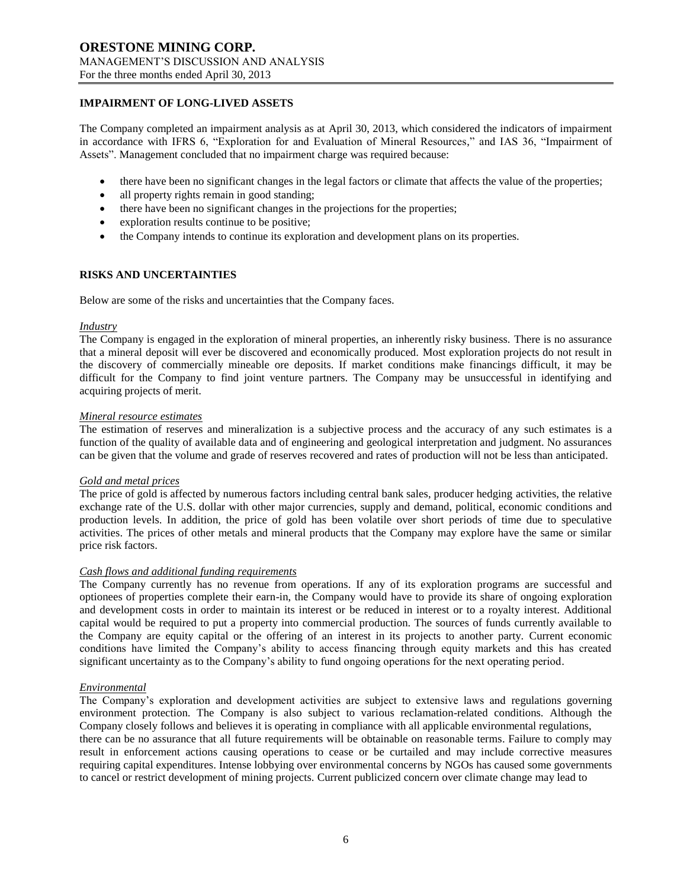### **IMPAIRMENT OF LONG-LIVED ASSETS**

The Company completed an impairment analysis as at April 30, 2013, which considered the indicators of impairment in accordance with IFRS 6, "Exploration for and Evaluation of Mineral Resources," and IAS 36, "Impairment of Assets". Management concluded that no impairment charge was required because:

- there have been no significant changes in the legal factors or climate that affects the value of the properties;
- all property rights remain in good standing;
- there have been no significant changes in the projections for the properties;
- exploration results continue to be positive;
- the Company intends to continue its exploration and development plans on its properties.

### **RISKS AND UNCERTAINTIES**

Below are some of the risks and uncertainties that the Company faces.

#### *Industry*

The Company is engaged in the exploration of mineral properties, an inherently risky business. There is no assurance that a mineral deposit will ever be discovered and economically produced. Most exploration projects do not result in the discovery of commercially mineable ore deposits. If market conditions make financings difficult, it may be difficult for the Company to find joint venture partners. The Company may be unsuccessful in identifying and acquiring projects of merit.

#### *Mineral resource estimates*

The estimation of reserves and mineralization is a subjective process and the accuracy of any such estimates is a function of the quality of available data and of engineering and geological interpretation and judgment. No assurances can be given that the volume and grade of reserves recovered and rates of production will not be less than anticipated.

#### *Gold and metal prices*

The price of gold is affected by numerous factors including central bank sales, producer hedging activities, the relative exchange rate of the U.S. dollar with other major currencies, supply and demand, political, economic conditions and production levels. In addition, the price of gold has been volatile over short periods of time due to speculative activities. The prices of other metals and mineral products that the Company may explore have the same or similar price risk factors.

#### *Cash flows and additional funding requirements*

The Company currently has no revenue from operations. If any of its exploration programs are successful and optionees of properties complete their earn-in, the Company would have to provide its share of ongoing exploration and development costs in order to maintain its interest or be reduced in interest or to a royalty interest. Additional capital would be required to put a property into commercial production. The sources of funds currently available to the Company are equity capital or the offering of an interest in its projects to another party. Current economic conditions have limited the Company's ability to access financing through equity markets and this has created significant uncertainty as to the Company's ability to fund ongoing operations for the next operating period.

#### *Environmental*

The Company's exploration and development activities are subject to extensive laws and regulations governing environment protection. The Company is also subject to various reclamation-related conditions. Although the Company closely follows and believes it is operating in compliance with all applicable environmental regulations, there can be no assurance that all future requirements will be obtainable on reasonable terms. Failure to comply may result in enforcement actions causing operations to cease or be curtailed and may include corrective measures requiring capital expenditures. Intense lobbying over environmental concerns by NGOs has caused some governments to cancel or restrict development of mining projects. Current publicized concern over climate change may lead to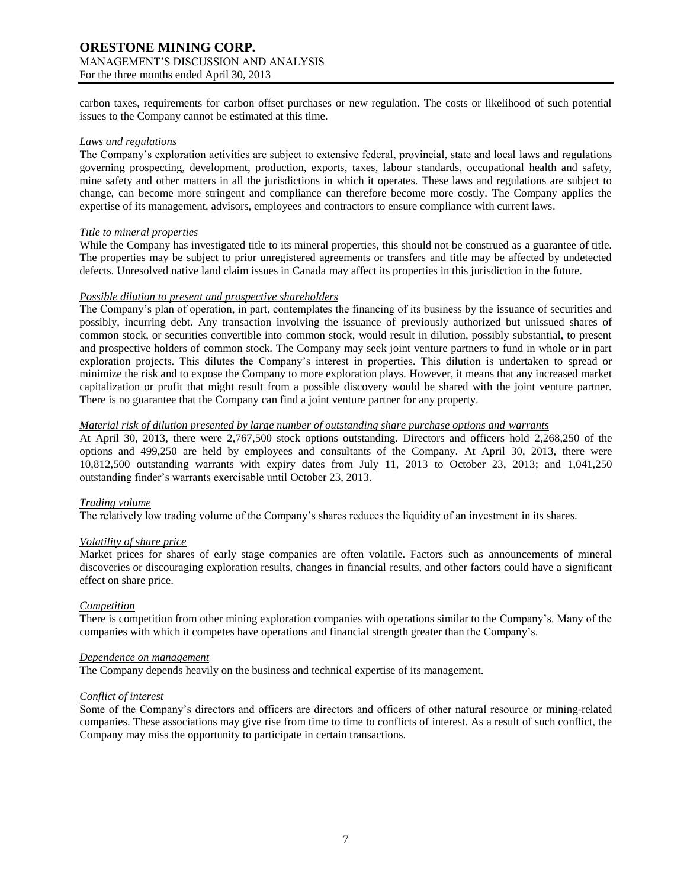carbon taxes, requirements for carbon offset purchases or new regulation. The costs or likelihood of such potential issues to the Company cannot be estimated at this time.

### *Laws and regulations*

The Company's exploration activities are subject to extensive federal, provincial, state and local laws and regulations governing prospecting, development, production, exports, taxes, labour standards, occupational health and safety, mine safety and other matters in all the jurisdictions in which it operates. These laws and regulations are subject to change, can become more stringent and compliance can therefore become more costly. The Company applies the expertise of its management, advisors, employees and contractors to ensure compliance with current laws.

### *Title to mineral properties*

While the Company has investigated title to its mineral properties, this should not be construed as a guarantee of title. The properties may be subject to prior unregistered agreements or transfers and title may be affected by undetected defects. Unresolved native land claim issues in Canada may affect its properties in this jurisdiction in the future.

### *Possible dilution to present and prospective shareholders*

The Company's plan of operation, in part, contemplates the financing of its business by the issuance of securities and possibly, incurring debt. Any transaction involving the issuance of previously authorized but unissued shares of common stock, or securities convertible into common stock, would result in dilution, possibly substantial, to present and prospective holders of common stock. The Company may seek joint venture partners to fund in whole or in part exploration projects. This dilutes the Company's interest in properties. This dilution is undertaken to spread or minimize the risk and to expose the Company to more exploration plays. However, it means that any increased market capitalization or profit that might result from a possible discovery would be shared with the joint venture partner. There is no guarantee that the Company can find a joint venture partner for any property.

### *Material risk of dilution presented by large number of outstanding share purchase options and warrants*

At April 30, 2013, there were 2,767,500 stock options outstanding. Directors and officers hold 2,268,250 of the options and 499,250 are held by employees and consultants of the Company. At April 30, 2013, there were 10,812,500 outstanding warrants with expiry dates from July 11, 2013 to October 23, 2013; and 1,041,250 outstanding finder's warrants exercisable until October 23, 2013.

## *Trading volume*

The relatively low trading volume of the Company's shares reduces the liquidity of an investment in its shares.

#### *Volatility of share price*

Market prices for shares of early stage companies are often volatile. Factors such as announcements of mineral discoveries or discouraging exploration results, changes in financial results, and other factors could have a significant effect on share price.

#### *Competition*

There is competition from other mining exploration companies with operations similar to the Company's. Many of the companies with which it competes have operations and financial strength greater than the Company's.

#### *Dependence on management*

The Company depends heavily on the business and technical expertise of its management.

### *Conflict of interest*

Some of the Company's directors and officers are directors and officers of other natural resource or mining-related companies. These associations may give rise from time to time to conflicts of interest. As a result of such conflict, the Company may miss the opportunity to participate in certain transactions.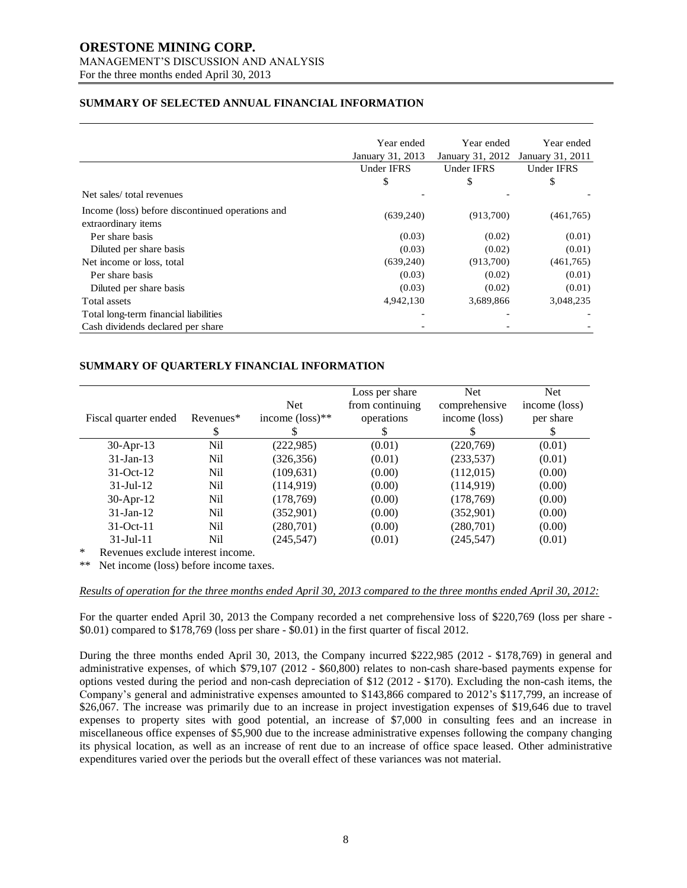# **ORESTONE MINING CORP.** MANAGEMENT'S DISCUSSION AND ANALYSIS

For the three months ended April 30, 2013

# **SUMMARY OF SELECTED ANNUAL FINANCIAL INFORMATION**

|                                                                         | Year ended        | Year ended       | Year ended        |
|-------------------------------------------------------------------------|-------------------|------------------|-------------------|
|                                                                         | January 31, 2013  | January 31, 2012 | January 31, 2011  |
|                                                                         | <b>Under IFRS</b> | Under IFRS       | <b>Under IFRS</b> |
|                                                                         | \$                | \$               | \$                |
| Net sales/total revenues                                                |                   |                  |                   |
| Income (loss) before discontinued operations and<br>extraordinary items | (639,240)         | (913,700)        | (461,765)         |
| Per share basis                                                         | (0.03)            | (0.02)           | (0.01)            |
| Diluted per share basis                                                 | (0.03)            | (0.02)           | (0.01)            |
| Net income or loss, total                                               | (639,240)         | (913,700)        | (461,765)         |
| Per share basis                                                         | (0.03)            | (0.02)           | (0.01)            |
| Diluted per share basis                                                 | (0.03)            | (0.02)           | (0.01)            |
| Total assets                                                            | 4,942,130         | 3,689,866        | 3,048,235         |
| Total long-term financial liabilities                                   |                   |                  |                   |
| Cash dividends declared per share                                       |                   |                  |                   |

## **SUMMARY OF QUARTERLY FINANCIAL INFORMATION**

| Fiscal quarter ended | Revenues*<br>\$ | <b>Net</b><br>income $(\text{loss})^{**}$ | Loss per share<br>from continuing<br>operations<br>S | <b>Net</b><br>comprehensive<br>income (loss) | Net.<br>income (loss)<br>per share<br>S |
|----------------------|-----------------|-------------------------------------------|------------------------------------------------------|----------------------------------------------|-----------------------------------------|
| $30$ -Apr-13         | Nil             | (222, 985)                                | (0.01)                                               | (220,769)                                    | (0.01)                                  |
| $31$ -Jan-13         | Nil             | (326, 356)                                | (0.01)                                               | (233, 537)                                   | (0.01)                                  |
| $31-Oct-12$          | Nil             | (109, 631)                                | (0.00)                                               | (112,015)                                    | (0.00)                                  |
| $31$ -Jul-12         | Nil             | (114, 919)                                | (0.00)                                               | (114, 919)                                   | (0.00)                                  |
| $30-Apr-12$          | Nil             | (178, 769)                                | (0.00)                                               | (178, 769)                                   | (0.00)                                  |
| $31$ -Jan-12         | Nil             | (352,901)                                 | (0.00)                                               | (352,901)                                    | (0.00)                                  |
| $31-Oct-11$          | Nil             | (280, 701)                                | (0.00)                                               | (280,701)                                    | (0.00)                                  |
| $31 -$ Jul $-11$     | Nil             | (245, 547)                                | (0.01)                                               | (245, 547)                                   | (0.01)                                  |

\* Revenues exclude interest income.

\*\* Net income (loss) before income taxes.

*Results of operation for the three months ended April 30, 2013 compared to the three months ended April 30, 2012:*

For the quarter ended April 30, 2013 the Company recorded a net comprehensive loss of \$220,769 (loss per share -  $$0.01)$  compared to  $$178,769$  (loss per share -  $$0.01)$  in the first quarter of fiscal 2012.

During the three months ended April 30, 2013, the Company incurred \$222,985 (2012 - \$178,769) in general and administrative expenses, of which \$79,107 (2012 - \$60,800) relates to non-cash share-based payments expense for options vested during the period and non-cash depreciation of \$12 (2012 - \$170). Excluding the non-cash items, the Company's general and administrative expenses amounted to \$143,866 compared to 2012's \$117,799, an increase of \$26,067. The increase was primarily due to an increase in project investigation expenses of \$19,646 due to travel expenses to property sites with good potential, an increase of \$7,000 in consulting fees and an increase in miscellaneous office expenses of \$5,900 due to the increase administrative expenses following the company changing its physical location, as well as an increase of rent due to an increase of office space leased. Other administrative expenditures varied over the periods but the overall effect of these variances was not material.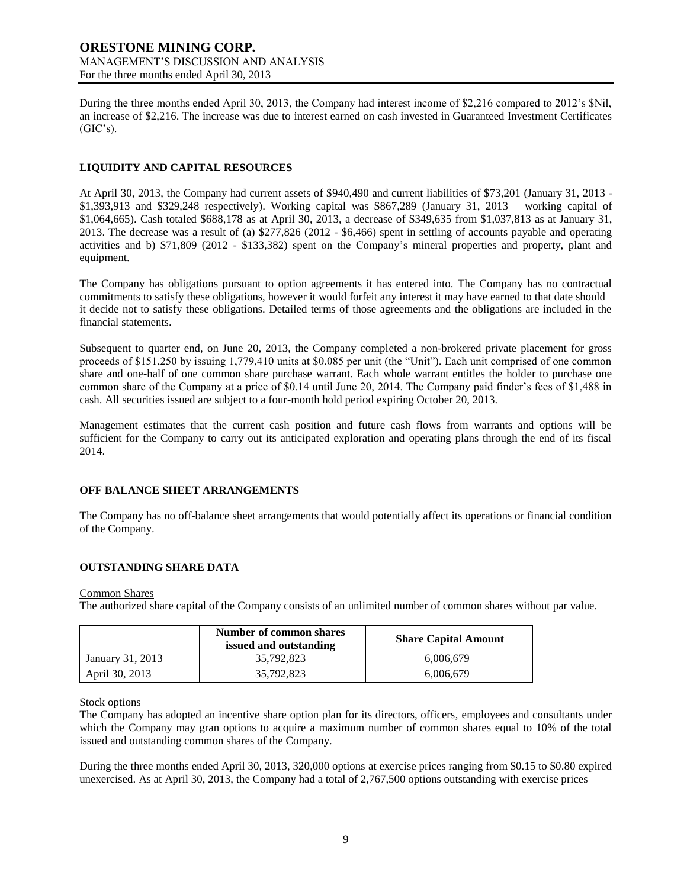During the three months ended April 30, 2013, the Company had interest income of \$2,216 compared to 2012's \$Nil, an increase of \$2,216. The increase was due to interest earned on cash invested in Guaranteed Investment Certificates  $(GIC's)$ .

# **LIQUIDITY AND CAPITAL RESOURCES**

At April 30, 2013, the Company had current assets of \$940,490 and current liabilities of \$73,201 (January 31, 2013 - \$1,393,913 and \$329,248 respectively). Working capital was \$867,289 (January 31, 2013 – working capital of \$1,064,665). Cash totaled \$688,178 as at April 30, 2013, a decrease of \$349,635 from \$1,037,813 as at January 31, 2013. The decrease was a result of (a) \$277,826 (2012 - \$6,466) spent in settling of accounts payable and operating activities and b) \$71,809 (2012 - \$133,382) spent on the Company's mineral properties and property, plant and equipment.

The Company has obligations pursuant to option agreements it has entered into. The Company has no contractual commitments to satisfy these obligations, however it would forfeit any interest it may have earned to that date should it decide not to satisfy these obligations. Detailed terms of those agreements and the obligations are included in the financial statements.

Subsequent to quarter end, on June 20, 2013, the Company completed a non-brokered private placement for gross proceeds of \$151,250 by issuing 1,779,410 units at \$0.085 per unit (the "Unit"). Each unit comprised of one common share and one-half of one common share purchase warrant. Each whole warrant entitles the holder to purchase one common share of the Company at a price of \$0.14 until June 20, 2014. The Company paid finder's fees of \$1,488 in cash. All securities issued are subject to a four-month hold period expiring October 20, 2013.

Management estimates that the current cash position and future cash flows from warrants and options will be sufficient for the Company to carry out its anticipated exploration and operating plans through the end of its fiscal 2014.

## **OFF BALANCE SHEET ARRANGEMENTS**

The Company has no off-balance sheet arrangements that would potentially affect its operations or financial condition of the Company.

# **OUTSTANDING SHARE DATA**

#### Common Shares

The authorized share capital of the Company consists of an unlimited number of common shares without par value.

|                  | Number of common shares<br>issued and outstanding | <b>Share Capital Amount</b> |  |  |
|------------------|---------------------------------------------------|-----------------------------|--|--|
| January 31, 2013 | 35,792,823                                        | 6,006,679                   |  |  |
| April 30, 2013   | 35,792,823                                        | 6.006.679                   |  |  |

## Stock options

The Company has adopted an incentive share option plan for its directors, officers, employees and consultants under which the Company may gran options to acquire a maximum number of common shares equal to 10% of the total issued and outstanding common shares of the Company.

During the three months ended April 30, 2013, 320,000 options at exercise prices ranging from \$0.15 to \$0.80 expired unexercised. As at April 30, 2013, the Company had a total of 2,767,500 options outstanding with exercise prices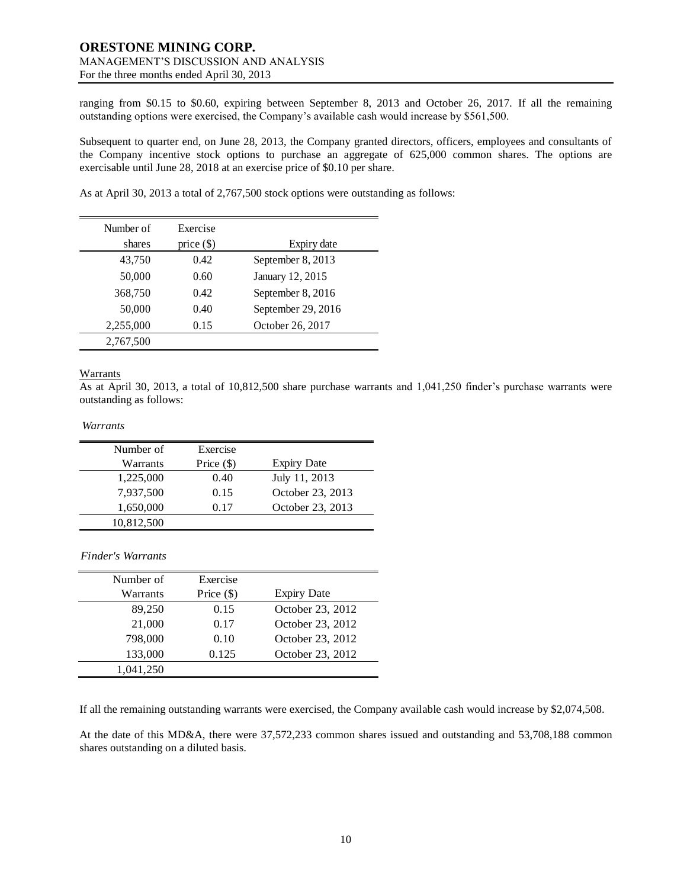ranging from \$0.15 to \$0.60, expiring between September 8, 2013 and October 26, 2017. If all the remaining outstanding options were exercised, the Company's available cash would increase by \$561,500.

Subsequent to quarter end, on June 28, 2013, the Company granted directors, officers, employees and consultants of the Company incentive stock options to purchase an aggregate of 625,000 common shares. The options are exercisable until June 28, 2018 at an exercise price of \$0.10 per share.

As at April 30, 2013 a total of 2,767,500 stock options were outstanding as follows:

| Number of<br>shares | Exercise<br>price $(\$)$ | Expiry date        |
|---------------------|--------------------------|--------------------|
| 43,750              | 0.42                     | September 8, 2013  |
| 50,000              | 0.60                     | January 12, 2015   |
| 368,750             | 0.42                     | September 8, 2016  |
| 50,000              | 0.40                     | September 29, 2016 |
| 2,255,000           | 0.15                     | October 26, 2017   |
| 2,767,500           |                          |                    |

## Warrants

As at April 30, 2013, a total of 10,812,500 share purchase warrants and 1,041,250 finder's purchase warrants were outstanding as follows:

### *Warrants*

| Number of  | Exercise     |                    |
|------------|--------------|--------------------|
| Warrants   | Price $(\$)$ | <b>Expiry Date</b> |
| 1,225,000  | 0.40         | July 11, 2013      |
| 7,937,500  | 0.15         | October 23, 2013   |
| 1,650,000  | 0.17         | October 23, 2013   |
| 10,812,500 |              |                    |

*Finder's Warrants*

| Number of | Exercise     |                    |
|-----------|--------------|--------------------|
| Warrants  | Price $(\$)$ | <b>Expiry Date</b> |
| 89,250    | 0.15         | October 23, 2012   |
| 21,000    | 0.17         | October 23, 2012   |
| 798,000   | 0.10         | October 23, 2012   |
| 133,000   | 0.125        | October 23, 2012   |
| 1,041,250 |              |                    |

If all the remaining outstanding warrants were exercised, the Company available cash would increase by \$2,074,508.

At the date of this MD&A, there were 37,572,233 common shares issued and outstanding and 53,708,188 common shares outstanding on a diluted basis.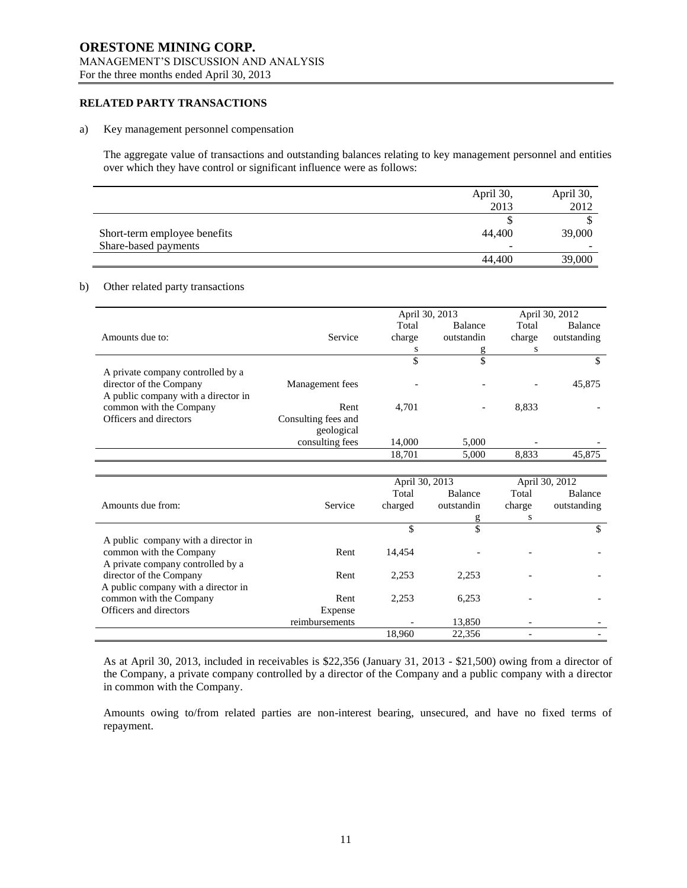# **RELATED PARTY TRANSACTIONS**

#### a) Key management personnel compensation

The aggregate value of transactions and outstanding balances relating to key management personnel and entities over which they have control or significant influence were as follows:

|                              | April 30, | April 30, |
|------------------------------|-----------|-----------|
|                              | 2013      | 2012      |
|                              |           |           |
| Short-term employee benefits | 44,400    | 39,000    |
| Share-based payments         | -         | $\sim$    |
|                              | 44,400    | 39,000    |

### b) Other related party transactions

|                                     |                     | April 30, 2013 |                |        | April 30, 2012 |
|-------------------------------------|---------------------|----------------|----------------|--------|----------------|
|                                     |                     | Total          | <b>Balance</b> | Total  | <b>Balance</b> |
| Amounts due to:                     | Service             | charge         | outstandin     | charge | outstanding    |
|                                     |                     | s              | g              | S      |                |
|                                     |                     |                | \$             |        |                |
| A private company controlled by a   |                     |                |                |        |                |
| director of the Company             | Management fees     |                |                |        | 45,875         |
| A public company with a director in |                     |                |                |        |                |
| common with the Company             | Rent                | 4.701          |                | 8,833  |                |
| Officers and directors              | Consulting fees and |                |                |        |                |
|                                     | geological          |                |                |        |                |
|                                     | consulting fees     | 14,000         | 5,000          |        |                |
|                                     |                     | 18,701         | 5,000          | 8,833  | 45,875         |

|                                     |                | April 30, 2013 |            | April 30, 2012 |                |
|-------------------------------------|----------------|----------------|------------|----------------|----------------|
|                                     |                | Total          | Balance    | Total          | <b>Balance</b> |
| Amounts due from:                   | Service        | charged        | outstandin | charge         | outstanding    |
|                                     |                |                | g          | S              |                |
|                                     |                | \$             | \$         |                | S              |
| A public company with a director in |                |                |            |                |                |
| common with the Company             | Rent           | 14.454         |            |                |                |
| A private company controlled by a   |                |                |            |                |                |
| director of the Company             | Rent           | 2.253          | 2.253      |                |                |
| A public company with a director in |                |                |            |                |                |
| common with the Company             | Rent           | 2,253          | 6,253      |                |                |
| Officers and directors              | Expense        |                |            |                |                |
|                                     | reimbursements |                | 13,850     |                |                |
|                                     |                | 18.960         | 22,356     |                |                |

As at April 30, 2013, included in receivables is \$22,356 (January 31, 2013 - \$21,500) owing from a director of the Company, a private company controlled by a director of the Company and a public company with a director in common with the Company.

Amounts owing to/from related parties are non-interest bearing, unsecured, and have no fixed terms of repayment.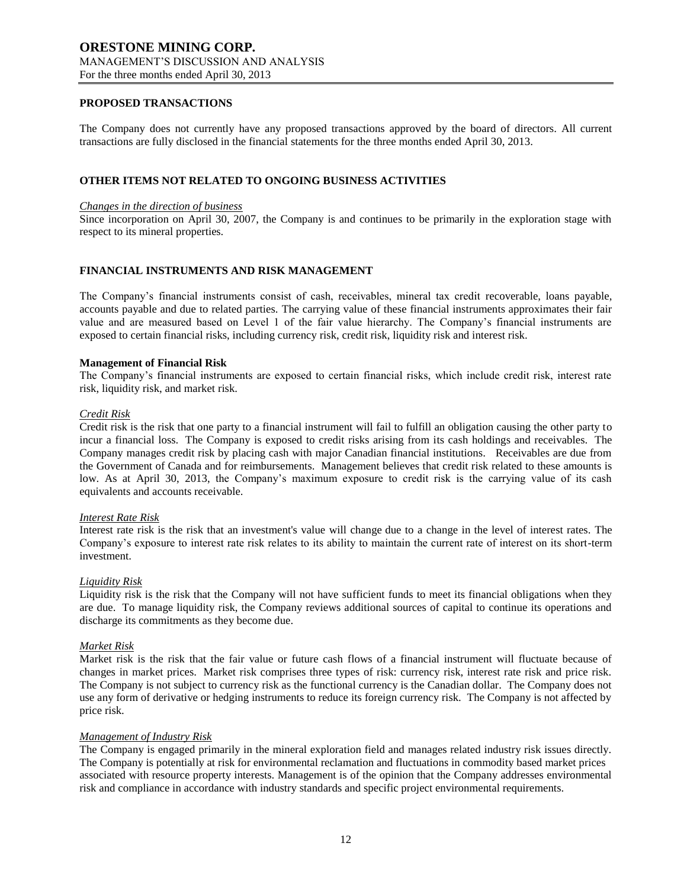### **PROPOSED TRANSACTIONS**

The Company does not currently have any proposed transactions approved by the board of directors. All current transactions are fully disclosed in the financial statements for the three months ended April 30, 2013.

### **OTHER ITEMS NOT RELATED TO ONGOING BUSINESS ACTIVITIES**

#### *Changes in the direction of business*

Since incorporation on April 30, 2007, the Company is and continues to be primarily in the exploration stage with respect to its mineral properties.

# **FINANCIAL INSTRUMENTS AND RISK MANAGEMENT**

The Company's financial instruments consist of cash, receivables, mineral tax credit recoverable, loans payable, accounts payable and due to related parties. The carrying value of these financial instruments approximates their fair value and are measured based on Level 1 of the fair value hierarchy. The Company's financial instruments are exposed to certain financial risks, including currency risk, credit risk, liquidity risk and interest risk.

#### **Management of Financial Risk**

The Company's financial instruments are exposed to certain financial risks, which include credit risk, interest rate risk, liquidity risk, and market risk.

#### *Credit Risk*

Credit risk is the risk that one party to a financial instrument will fail to fulfill an obligation causing the other party to incur a financial loss. The Company is exposed to credit risks arising from its cash holdings and receivables. The Company manages credit risk by placing cash with major Canadian financial institutions. Receivables are due from the Government of Canada and for reimbursements. Management believes that credit risk related to these amounts is low. As at April 30, 2013, the Company's maximum exposure to credit risk is the carrying value of its cash equivalents and accounts receivable.

#### *Interest Rate Risk*

Interest rate risk is the risk that an investment's value will change due to a change in the level of interest rates. The Company's exposure to interest rate risk relates to its ability to maintain the current rate of interest on its short-term investment.

#### *Liquidity Risk*

Liquidity risk is the risk that the Company will not have sufficient funds to meet its financial obligations when they are due. To manage liquidity risk, the Company reviews additional sources of capital to continue its operations and discharge its commitments as they become due.

#### *Market Risk*

Market risk is the risk that the fair value or future cash flows of a financial instrument will fluctuate because of changes in market prices. Market risk comprises three types of risk: currency risk, interest rate risk and price risk. The Company is not subject to currency risk as the functional currency is the Canadian dollar. The Company does not use any form of derivative or hedging instruments to reduce its foreign currency risk. The Company is not affected by price risk.

#### *Management of Industry Risk*

The Company is engaged primarily in the mineral exploration field and manages related industry risk issues directly. The Company is potentially at risk for environmental reclamation and fluctuations in commodity based market prices associated with resource property interests. Management is of the opinion that the Company addresses environmental risk and compliance in accordance with industry standards and specific project environmental requirements.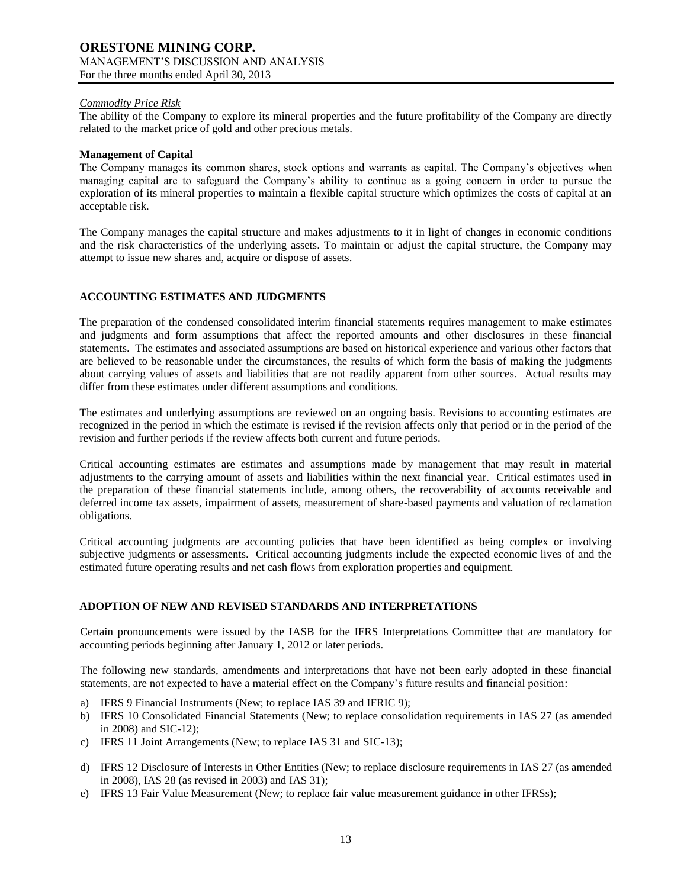### *Commodity Price Risk*

The ability of the Company to explore its mineral properties and the future profitability of the Company are directly related to the market price of gold and other precious metals.

### **Management of Capital**

The Company manages its common shares, stock options and warrants as capital. The Company's objectives when managing capital are to safeguard the Company's ability to continue as a going concern in order to pursue the exploration of its mineral properties to maintain a flexible capital structure which optimizes the costs of capital at an acceptable risk.

The Company manages the capital structure and makes adjustments to it in light of changes in economic conditions and the risk characteristics of the underlying assets. To maintain or adjust the capital structure, the Company may attempt to issue new shares and, acquire or dispose of assets.

## **ACCOUNTING ESTIMATES AND JUDGMENTS**

The preparation of the condensed consolidated interim financial statements requires management to make estimates and judgments and form assumptions that affect the reported amounts and other disclosures in these financial statements. The estimates and associated assumptions are based on historical experience and various other factors that are believed to be reasonable under the circumstances, the results of which form the basis of making the judgments about carrying values of assets and liabilities that are not readily apparent from other sources. Actual results may differ from these estimates under different assumptions and conditions.

The estimates and underlying assumptions are reviewed on an ongoing basis. Revisions to accounting estimates are recognized in the period in which the estimate is revised if the revision affects only that period or in the period of the revision and further periods if the review affects both current and future periods.

Critical accounting estimates are estimates and assumptions made by management that may result in material adjustments to the carrying amount of assets and liabilities within the next financial year. Critical estimates used in the preparation of these financial statements include, among others, the recoverability of accounts receivable and deferred income tax assets, impairment of assets, measurement of share-based payments and valuation of reclamation obligations.

Critical accounting judgments are accounting policies that have been identified as being complex or involving subjective judgments or assessments. Critical accounting judgments include the expected economic lives of and the estimated future operating results and net cash flows from exploration properties and equipment.

# **ADOPTION OF NEW AND REVISED STANDARDS AND INTERPRETATIONS**

Certain pronouncements were issued by the IASB for the IFRS Interpretations Committee that are mandatory for accounting periods beginning after January 1, 2012 or later periods.

The following new standards, amendments and interpretations that have not been early adopted in these financial statements, are not expected to have a material effect on the Company's future results and financial position:

- a) IFRS 9 Financial Instruments (New; to replace IAS 39 and IFRIC 9);
- b) IFRS 10 Consolidated Financial Statements (New; to replace consolidation requirements in IAS 27 (as amended in 2008) and SIC-12);
- c) IFRS 11 Joint Arrangements (New; to replace IAS 31 and SIC-13);
- d) IFRS 12 Disclosure of Interests in Other Entities (New; to replace disclosure requirements in IAS 27 (as amended in 2008), IAS 28 (as revised in 2003) and IAS 31);
- e) IFRS 13 Fair Value Measurement (New; to replace fair value measurement guidance in other IFRSs);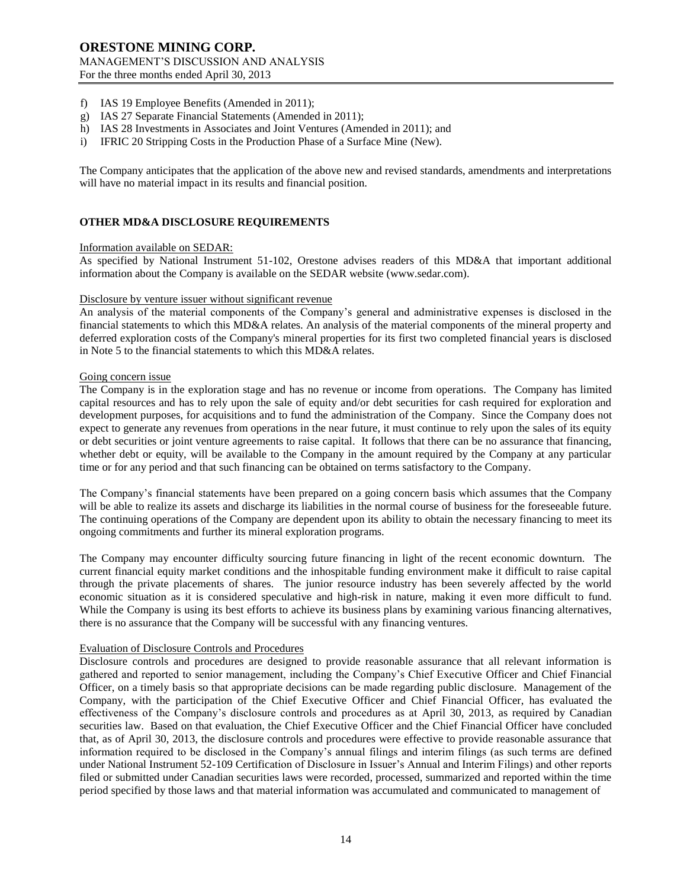- f) IAS 19 Employee Benefits (Amended in 2011);
- g) IAS 27 Separate Financial Statements (Amended in 2011);
- h) IAS 28 Investments in Associates and Joint Ventures (Amended in 2011); and
- i) IFRIC 20 Stripping Costs in the Production Phase of a Surface Mine (New).

The Company anticipates that the application of the above new and revised standards, amendments and interpretations will have no material impact in its results and financial position.

## **OTHER MD&A DISCLOSURE REQUIREMENTS**

### Information available on SEDAR:

As specified by National Instrument 51-102, Orestone advises readers of this MD&A that important additional information about the Company is available on the SEDAR website (www.sedar.com).

#### Disclosure by venture issuer without significant revenue

An analysis of the material components of the Company's general and administrative expenses is disclosed in the financial statements to which this MD&A relates. An analysis of the material components of the mineral property and deferred exploration costs of the Company's mineral properties for its first two completed financial years is disclosed in Note 5 to the financial statements to which this MD&A relates.

#### Going concern issue

The Company is in the exploration stage and has no revenue or income from operations. The Company has limited capital resources and has to rely upon the sale of equity and/or debt securities for cash required for exploration and development purposes, for acquisitions and to fund the administration of the Company. Since the Company does not expect to generate any revenues from operations in the near future, it must continue to rely upon the sales of its equity or debt securities or joint venture agreements to raise capital. It follows that there can be no assurance that financing, whether debt or equity, will be available to the Company in the amount required by the Company at any particular time or for any period and that such financing can be obtained on terms satisfactory to the Company.

The Company's financial statements have been prepared on a going concern basis which assumes that the Company will be able to realize its assets and discharge its liabilities in the normal course of business for the foreseeable future. The continuing operations of the Company are dependent upon its ability to obtain the necessary financing to meet its ongoing commitments and further its mineral exploration programs.

The Company may encounter difficulty sourcing future financing in light of the recent economic downturn. The current financial equity market conditions and the inhospitable funding environment make it difficult to raise capital through the private placements of shares. The junior resource industry has been severely affected by the world economic situation as it is considered speculative and high-risk in nature, making it even more difficult to fund. While the Company is using its best efforts to achieve its business plans by examining various financing alternatives, there is no assurance that the Company will be successful with any financing ventures.

#### Evaluation of Disclosure Controls and Procedures

Disclosure controls and procedures are designed to provide reasonable assurance that all relevant information is gathered and reported to senior management, including the Company's Chief Executive Officer and Chief Financial Officer, on a timely basis so that appropriate decisions can be made regarding public disclosure. Management of the Company, with the participation of the Chief Executive Officer and Chief Financial Officer, has evaluated the effectiveness of the Company's disclosure controls and procedures as at April 30, 2013, as required by Canadian securities law. Based on that evaluation, the Chief Executive Officer and the Chief Financial Officer have concluded that, as of April 30, 2013, the disclosure controls and procedures were effective to provide reasonable assurance that information required to be disclosed in the Company's annual filings and interim filings (as such terms are defined under National Instrument 52-109 Certification of Disclosure in Issuer's Annual and Interim Filings) and other reports filed or submitted under Canadian securities laws were recorded, processed, summarized and reported within the time period specified by those laws and that material information was accumulated and communicated to management of